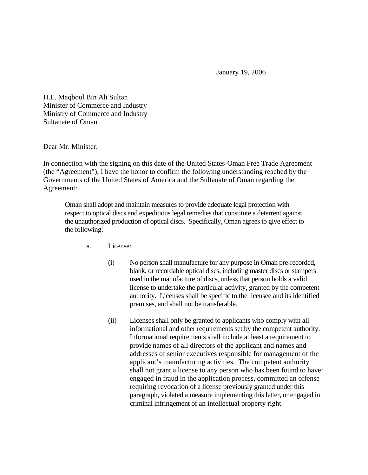January 19, 2006

H.E. Maqbool Bin Ali Sultan Minister of Commerce and Industry Ministry of Commerce and Industry Sultanate of Oman

Dear Mr. Minister:

In connection with the signing on this date of the United States-Oman Free Trade Agreement (the "Agreement"), I have the honor to confirm the following understanding reached by the Governments of the United States of America and the Sultanate of Oman regarding the Agreement:

Oman shall adopt and maintain measures to provide adequate legal protection with respect to optical discs and expeditious legal remedies that constitute a deterrent against the unauthorized production of optical discs. Specifically, Oman agrees to give effect to the following:

- a. License:
	- (i) No person shall manufacture for any purpose in Oman pre-recorded, blank, or recordable optical discs, including master discs or stampers used in the manufacture of discs, unless that person holds a valid license to undertake the particular activity, granted by the competent authority. Licenses shall be specific to the licensee and its identified premises, and shall not be transferable.
	- (ii) Licenses shall only be granted to applicants who comply with all informational and other requirements set by the competent authority. Informational requirements shall include at least a requirement to provide names of all directors of the applicant and names and addresses of senior executives responsible for management of the applicant's manufacturing activities. The competent authority shall not grant a license to any person who has been found to have: engaged in fraud in the application process, committed an offense requiring revocation of a license previously granted under this paragraph, violated a measure implementing this letter, or engaged in criminal infringement of an intellectual property right.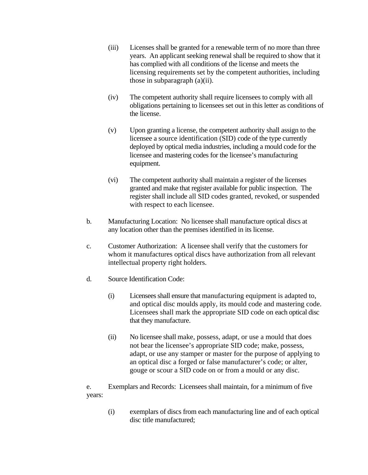- (iii) Licenses shall be granted for a renewable term of no more than three years. An applicant seeking renewal shall be required to show that it has complied with all conditions of the license and meets the licensing requirements set by the competent authorities, including those in subparagraph (a)(ii).
- (iv) The competent authority shall require licensees to comply with all obligations pertaining to licensees set out in this letter as conditions of the license.
- (v) Upon granting a license, the competent authority shall assign to the licensee a source identification (SID) code of the type currently deployed by optical media industries, including a mould code for the licensee and mastering codes for the licensee's manufacturing equipment.
- (vi) The competent authority shall maintain a register of the licenses granted and make that register available for public inspection. The register shall include all SID codes granted, revoked, or suspended with respect to each licensee.
- b. Manufacturing Location: No licensee shall manufacture optical discs at any location other than the premises identified in its license.
- c. Customer Authorization: A licensee shall verify that the customers for whom it manufactures optical discs have authorization from all relevant intellectual property right holders.
- d. Source Identification Code:
	- (i) Licensees shall ensure that manufacturing equipment is adapted to, and optical disc moulds apply, its mould code and mastering code. Licensees shall mark the appropriate SID code on each optical disc that they manufacture.
	- (ii) No licensee shall make, possess, adapt, or use a mould that does not bear the licensee's appropriate SID code; make, possess, adapt, or use any stamper or master for the purpose of applying to an optical disc a forged or false manufacturer's code; or alter, gouge or scour a SID code on or from a mould or any disc.

e. Exemplars and Records: Licensees shall maintain, for a minimum of five years:

> (i) exemplars of discs from each manufacturing line and of each optical disc title manufactured;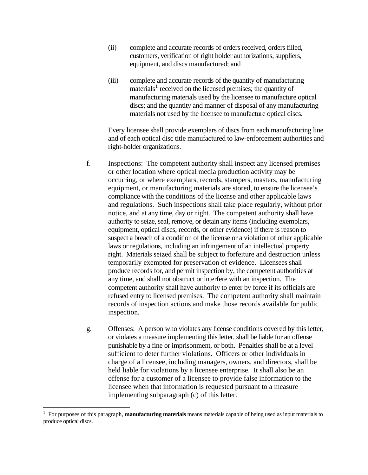- (ii) complete and accurate records of orders received, orders filled, customers, verification of right holder authorizations, suppliers, equipment, and discs manufactured; and
- (iii) complete and accurate records of the quantity of manufacturing materials<sup>[1](#page-2-0)</sup> received on the licensed premises; the quantity of manufacturing materials used by the licensee to manufacture optical discs; and the quantity and manner of disposal of any manufacturing materials not used by the licensee to manufacture optical discs.

Every licensee shall provide exemplars of discs from each manufacturing line and of each optical disc title manufactured to law-enforcement authorities and right-holder organizations.

- f. Inspections: The competent authority shall inspect any licensed premises or other location where optical media production activity may be occurring, or where exemplars, records, stampers, masters, manufacturing equipment, or manufacturing materials are stored, to ensure the licensee's compliance with the conditions of the license and other applicable laws and regulations. Such inspections shall take place regularly, without prior notice, and at any time, day or night. The competent authority shall have authority to seize, seal, remove, or detain any items (including exemplars, equipment, optical discs, records, or other evidence) if there is reason to suspect a breach of a condition of the license or a violation of other applicable laws or regulations, including an infringement of an intellectual property right. Materials seized shall be subject to forfeiture and destruction unless temporarily exempted for preservation of evidence. Licensees shall produce records for, and permit inspection by, the competent authorities at any time, and shall not obstruct or interfere with an inspection. The competent authority shall have authority to enter by force if its officials are refused entry to licensed premises. The competent authority shall maintain records of inspection actions and make those records available for public inspection.
- g. Offenses: A person who violates any license conditions covered by this letter, or violates a measure implementing this letter, shall be liable for an offense punishable by a fine or imprisonment, or both. Penalties shall be at a level sufficient to deter further violations. Officers or other individuals in charge of a licensee, including managers, owners, and directors, shall be held liable for violations by a licensee enterprise. It shall also be an offense for a customer of a licensee to provide false information to the licensee when that information is requested pursuant to a measure implementing subparagraph (c) of this letter.

 $\overline{a}$ 

<span id="page-2-0"></span><sup>&</sup>lt;sup>1</sup> For purposes of this paragraph, **manufacturing materials** means materials capable of being used as input materials to produce optical discs.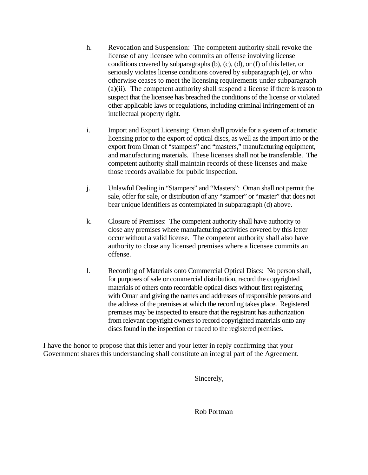- h. Revocation and Suspension: The competent authority shall revoke the license of any licensee who commits an offense involving license conditions covered by subparagraphs (b), (c), (d), or (f) of this letter, or seriously violates license conditions covered by subparagraph (e), or who otherwise ceases to meet the licensing requirements under subparagraph (a)(ii). The competent authority shall suspend a license if there is reason to suspect that the licensee has breached the conditions of the license or violated other applicable laws or regulations, including criminal infringement of an intellectual property right.
- i. Import and Export Licensing: Oman shall provide for a system of automatic licensing prior to the export of optical discs, as well as the import into or the export from Oman of "stampers" and "masters," manufacturing equipment, and manufacturing materials. These licenses shall not be transferable. The competent authority shall maintain records of these licenses and make those records available for public inspection.
- j. Unlawful Dealing in "Stampers" and "Masters": Oman shall not permit the sale, offer for sale, or distribution of any "stamper" or "master" that does not bear unique identifiers as contemplated in subparagraph (d) above.
- k. Closure of Premises: The competent authority shall have authority to close any premises where manufacturing activities covered by this letter occur without a valid license. The competent authority shall also have authority to close any licensed premises where a licensee commits an offense.
- l. Recording of Materials onto Commercial Optical Discs: No person shall, for purposes of sale or commercial distribution, record the copyrighted materials of others onto recordable optical discs without first registering with Oman and giving the names and addresses of responsible persons and the address of the premises at which the recording takes place. Registered premises may be inspected to ensure that the registrant has authorization from relevant copyright owners to record copyrighted materials onto any discs found in the inspection or traced to the registered premises.

I have the honor to propose that this letter and your letter in reply confirming that your Government shares this understanding shall constitute an integral part of the Agreement.

Sincerely,

Rob Portman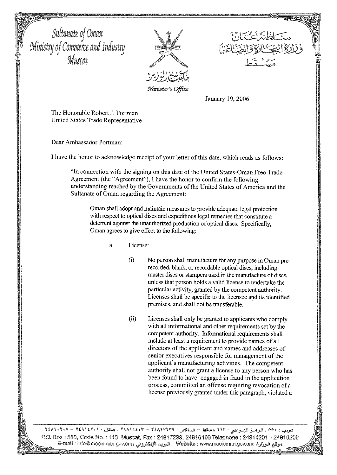

January 19, 2006

The Honorable Robert J. Portman United States Trade Representative

Dear Ambassador Portman:

I have the honor to acknowledge receipt of your letter of this date, which reads as follows:

"In connection with the signing on this date of the United States-Oman Free Trade Agreement (the "Agreement"), I have the honor to confirm the following understanding reached by the Governments of the United States of America and the Sultanate of Oman regarding the Agreement:

Oman shall adopt and maintain measures to provide adequate legal protection with respect to optical discs and expeditious legal remedies that constitute a deterrent against the unauthorized production of optical discs. Specifically, Oman agrees to give effect to the following:

- a. License:
	- $\ddot{\Omega}$ No person shall manufacture for any purpose in Oman prerecorded, blank, or recordable optical discs, including master discs or stampers used in the manufacture of discs, unless that person holds a valid license to undertake the particular activity, granted by the competent authority. Licenses shall be specific to the licensee and its identified premises, and shall not be transferable.
	- $(ii)$ Licenses shall only be granted to applicants who comply with all informational and other requirements set by the competent authority. Informational requirements shall include at least a requirement to provide names of all directors of the applicant and names and addresses of senior executives responsible for management of the applicant's manufacturing activities. The competent authority shall not grant a license to any person who has been found to have: engaged in fraud in the application process, committed an offense requiring revocation of a license previously granted under this paragraph, violated a

ص.ب : ٥٥٠ ، الرمسز البسريدي : ١١٣ مسقط – فسلكس : ٢٤٨١٧٢٣٩ – ٢٤٨١٦٤٠٢ ، هاتف : ٢٠١١٤٢٠١ – ٢٤٨١٠٢ ) P.O. Box: 550, Code No.: 113 Muscat, Fax: 24817239, 24816403 Telephone: 24814201 - 24810209 وقع الوزارة : Website : www.mocioman.gov.om - البريد الإلكتروني : E-mail : info@mocioman.gov.om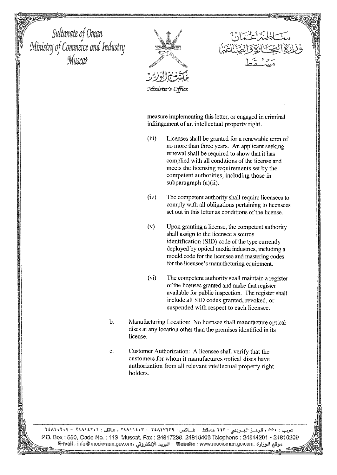

Minister's Office

measure implementing this letter, or engaged in criminal infringement of an intellectual property right.

- $(iii)$ Licenses shall be granted for a renewable term of no more than three years. An applicant seeking renewal shall be required to show that it has complied with all conditions of the license and meets the licensing requirements set by the competent authorities, including those in subparagraph (a)(ii).
- $(iv)$ The competent authority shall require licensees to comply with all obligations pertaining to licensees set out in this letter as conditions of the license.
- $(v)$ Upon granting a license, the competent authority shall assign to the licensee a source identification (SID) code of the type currently deployed by optical media industries, including a mould code for the licensee and mastering codes for the licensee's manufacturing equipment.
- $(vi)$ The competent authority shall maintain a register of the licenses granted and make that register available for public inspection. The register shall include all SID codes granted, revoked, or suspended with respect to each licensee.
- $\mathbf b$ . Manufacturing Location: No licensee shall manufacture optical discs at any location other than the premises identified in its license.
- Customer Authorization: A licensee shall verify that the c. customers for whom it manufactures optical discs have authorization from all relevant intellectual property right holders.

ص.ب : ٥٥٠ ، الرمسز البسريدن : ١١٣ مسقط – فساكس : ٢٤٨١٧٢٣٩ - ٢٤٨١١٤٢٠٣ . هاتف : ٢٤٨١٤٢٠١ – ٢٤٨١٠٢٠٩ P.O. Box: 550, Code No.: 113 Muscat, Fax: 24817239, 24816403 Telephone: 24814201 - 24810209 وقع الوزارة : Website : www.mocioman.gov.om - البريد الإلكتروني : E-mail : info@mocioman.gov.om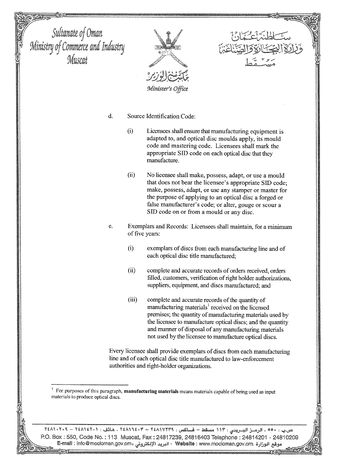



- $(i)$ Licensees shall ensure that manufacturing equipment is adapted to, and optical disc moulds apply, its mould code and mastering code. Licensees shall mark the appropriate SID code on each optical disc that they manufacture.
- $(ii)$ No licensee shall make, possess, adapt, or use a mould that does not bear the licensee's appropriate SID code; make, possess, adapt, or use any stamper or master for the purpose of applying to an optical disc a forged or false manufacturer's code; or alter, gouge or scour a SID code on or from a mould or any disc.
- e. Exemplars and Records: Licensees shall maintain, for a minimum of five years:
	- $(i)$ exemplars of discs from each manufacturing line and of each optical disc title manufactured;
	- $(ii)$ complete and accurate records of orders received, orders filled, customers, verification of right holder authorizations, suppliers, equipment, and discs manufactured; and
	- $(iii)$ complete and accurate records of the quantity of manufacturing materials<sup>1</sup> received on the licensed premises; the quantity of manufacturing materials used by the licensee to manufacture optical discs; and the quantity and manner of disposal of any manufacturing materials not used by the licensee to manufacture optical discs.

Every licensee shall provide exemplars of discs from each manufacturing line and of each optical disc title manufactured to law-enforcement authorities and right-holder organizations.

For purposes of this paragraph, manufacturing materials means materials capable of being used as input materials to produce optical discs.

، الرمسز البسريدي : ١١٣ مسقط – فساكس : ٢٤٨١٧٢٣٩ - ٢٤٨١٦٤٠٣ ، هاتف : ٢٤٨١٤٢٠١ – ٢٤٨١٠٢ P.O. Box: 550, Code No.: 113 Muscat, Fax: 24817239, 24816403 Telephone: 24814201 - 24810209 وقع الوزارة : Website : www.mocioman.gov.om - البريد الإلكتروني ، E-mail : info@mocioman.gov.om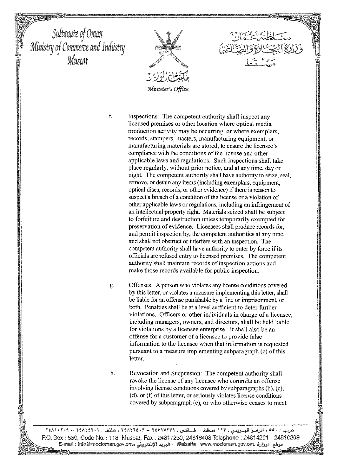

Inspections: The competent authority shall inspect any licensed premises or other location where optical media production activity may be occurring, or where exemplars, records, stampers, masters, manufacturing equipment, or manufacturing materials are stored, to ensure the licensee's compliance with the conditions of the license and other applicable laws and regulations. Such inspections shall take place regularly, without prior notice, and at any time, day or night. The competent authority shall have authority to seize, seal. remove, or detain any items (including exemplars, equipment, optical discs, records, or other evidence) if there is reason to suspect a breach of a condition of the license or a violation of other applicable laws or regulations, including an infringement of an intellectual property right. Materials seized shall be subject to forfeiture and destruction unless temporarily exempted for preservation of evidence. Licensees shall produce records for, and permit inspection by, the competent authorities at any time, and shall not obstruct or interfere with an inspection. The competent authority shall have authority to enter by force if its officials are refused entry to licensed premises. The competent authority shall maintain records of inspection actions and make those records available for public inspection.

g.

 $f$ 

Offenses: A person who violates any license conditions covered by this letter, or violates a measure implementing this letter, shall be liable for an offense punishable by a fine or imprisonment, or both. Penalties shall be at a level sufficient to deter further violations. Officers or other individuals in charge of a licensee. including managers, owners, and directors, shall be held liable for violations by a licensee enterprise. It shall also be an offense for a customer of a licensee to provide false information to the licensee when that information is requested pursuant to a measure implementing subparagraph (c) of this letter.

h. Revocation and Suspension: The competent authority shall revoke the license of any licensee who commits an offense involving license conditions covered by subparagraphs (b), (c), (d), or (f) of this letter, or seriously violates license conditions covered by subparagraph (e), or who otherwise ceases to meet

۰۰۰ ، الرمسز البسريدي : ۱۱۳ مسقط – فساكس : ۲٤٨١٧٢٣٩ - ۲٤٨١٦٤٠٣ ، هاتف : ۲٤٨١٤٢٠١ – ۲٤٨١٠٢٠٩ P.O. Box: 550, Code No.: 113 Muscat, Fax: 24817239, 24816403 Telephone: 24814201 - 24810209 موقع الوزارة : Website : www.mocioman.gov.om - البريد الإلكتروني : E-mall : info@mocioman.gov.om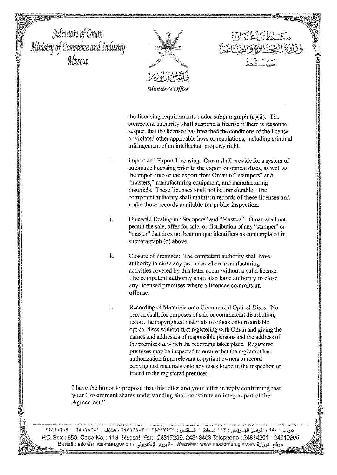

the licensing requirements under subparagraph (a)(ii). The competent authority shall suspend a license if there is reason to suspect that the licensee has breached the conditions of the license or violated other applicable laws or regulations, including criminal infringement of an intellectual property right.

- i. Import and Export Licensing: Oman shall provide for a system of automatic licensing prior to the export of optical discs, as well as the import into or the export from Oman of "stampers" and "masters," manufacturing equipment, and manufacturing materials. These licenses shall not be transferable. The competent authority shall maintain records of these licenses and make those records available for public inspection.
- $\mathbf{j}$ . Unlawful Dealing in "Stampers" and "Masters": Oman shall not permit the sale, offer for sale, or distribution of any "stamper" or "master" that does not bear unique identifiers as contemplated in subparagraph (d) above.
- $\mathbf{k}$ . Closure of Premises: The competent authority shall have authority to close any premises where manufacturing activities covered by this letter occur without a valid license. The competent authority shall also have authority to close any licensed premises where a licensee commits an offense.
- $\mathbf{I}$ Recording of Materials onto Commercial Optical Discs: No person shall, for purposes of sale or commercial distribution, record the copyrighted materials of others onto recordable optical discs without first registering with Oman and giving the names and addresses of responsible persons and the address of the premises at which the recording takes place. Registered premises may be inspected to ensure that the registrant has authorization from relevant copyright owners to record copyrighted materials onto any discs found in the inspection or traced to the registered premises.

I have the honor to propose that this letter and your letter in reply confirming that your Government shares understanding shall constitute an integral part of the Agreement."

٥٥٠، الرميز البيريدي : ١١٣ مسقط – فساكس : ٢٤٨١٧٢٣٩ - ٢٤٨١٦٤٠٣ ، هاتف : ٢٤٨١٤٢٠١ – ٢٤٨١٠٢٠٩ P.O. Box: 550, Code No.: 113 Muscat, Fax: 24817239, 24816403 Telephone: 24814201 - 24810209 موقع الوزارة :Website : www.mocioman.gov.om - البريد الإلكتروني ، E-mail : info@mocioman.gov.om